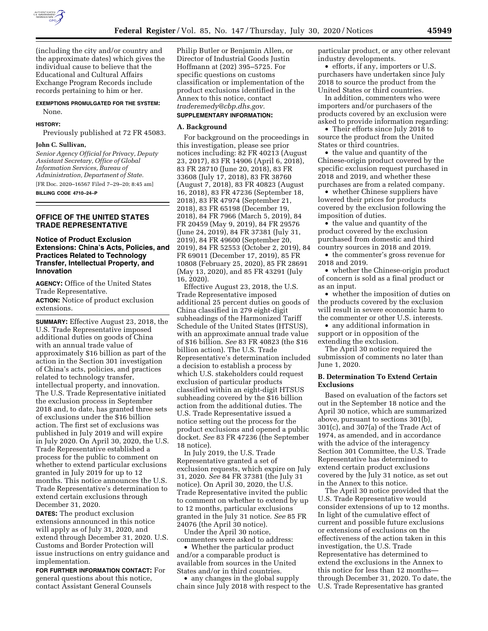

(including the city and/or country and the approximate dates) which gives the individual cause to believe that the Educational and Cultural Affairs Exchange Program Records include records pertaining to him or her.

### **EXEMPTIONS PROMULGATED FOR THE SYSTEM:**  None.

#### **HISTORY:**

Previously published at 72 FR 45083.

#### **John C. Sullivan,**

*Senior Agency Official for Privacy, Deputy Assistant Secretary, Office of Global Information Services, Bureau of Administration, Department of State.*  [FR Doc. 2020–16567 Filed 7–29–20; 8:45 am] **BILLING CODE 4710–24–P** 

### **OFFICE OF THE UNITED STATES TRADE REPRESENTATIVE**

### **Notice of Product Exclusion Extensions: China's Acts, Policies, and Practices Related to Technology Transfer, Intellectual Property, and Innovation**

**AGENCY:** Office of the United States Trade Representative.

**ACTION:** Notice of product exclusion extensions.

**SUMMARY:** Effective August 23, 2018, the U.S. Trade Representative imposed additional duties on goods of China with an annual trade value of approximately \$16 billion as part of the action in the Section 301 investigation of China's acts, policies, and practices related to technology transfer, intellectual property, and innovation. The U.S. Trade Representative initiated the exclusion process in September 2018 and, to date, has granted three sets of exclusions under the \$16 billion action. The first set of exclusions was published in July 2019 and will expire in July 2020. On April 30, 2020, the U.S. Trade Representative established a process for the public to comment on whether to extend particular exclusions granted in July 2019 for up to 12 months. This notice announces the U.S. Trade Representative's determination to extend certain exclusions through December 31, 2020.

**DATES:** The product exclusion extensions announced in this notice will apply as of July 31, 2020, and extend through December 31, 2020. U.S. Customs and Border Protection will issue instructions on entry guidance and implementation.

**FOR FURTHER INFORMATION CONTACT:** For general questions about this notice, contact Assistant General Counsels

Philip Butler or Benjamin Allen, or Director of Industrial Goods Justin Hoffmann at (202) 395–5725. For specific questions on customs classification or implementation of the product exclusions identified in the Annex to this notice, contact *[traderemedy@cbp.dhs.gov.](mailto:traderemedy@cbp.dhs.gov)* 

#### **SUPPLEMENTARY INFORMATION:**

#### **A. Background**

For background on the proceedings in this investigation, please see prior notices including: 82 FR 40213 (August 23, 2017), 83 FR 14906 (April 6, 2018), 83 FR 28710 (June 20, 2018), 83 FR 33608 (July 17, 2018), 83 FR 38760 (August 7, 2018), 83 FR 40823 (August 16, 2018), 83 FR 47236 (September 18, 2018), 83 FR 47974 (September 21, 2018), 83 FR 65198 (December 19, 2018), 84 FR 7966 (March 5, 2019), 84 FR 20459 (May 9, 2019), 84 FR 29576 (June 24, 2019), 84 FR 37381 (July 31, 2019), 84 FR 49600 (September 20, 2019), 84 FR 52553 (October 2, 2019), 84 FR 69011 (December 17, 2019), 85 FR 10808 (February 25, 2020), 85 FR 28691 (May 13, 2020), and 85 FR 43291 (July 16, 2020).

Effective August 23, 2018, the U.S. Trade Representative imposed additional 25 percent duties on goods of China classified in 279 eight-digit subheadings of the Harmonized Tariff Schedule of the United States (HTSUS), with an approximate annual trade value of \$16 billion. *See* 83 FR 40823 (the \$16 billion action). The U.S. Trade Representative's determination included a decision to establish a process by which U.S. stakeholders could request exclusion of particular products classified within an eight-digit HTSUS subheading covered by the \$16 billion action from the additional duties. The U.S. Trade Representative issued a notice setting out the process for the product exclusions and opened a public docket. *See* 83 FR 47236 (the September 18 notice).

In July 2019, the U.S. Trade Representative granted a set of exclusion requests, which expire on July 31, 2020. *See* 84 FR 37381 (the July 31 notice). On April 30, 2020, the U.S. Trade Representative invited the public to comment on whether to extend by up to 12 months, particular exclusions granted in the July 31 notice. *See* 85 FR 24076 (the April 30 notice).

Under the April 30 notice, commenters were asked to address:

• Whether the particular product and/or a comparable product is available from sources in the United States and/or in third countries.

• any changes in the global supply chain since July 2018 with respect to the particular product, or any other relevant industry developments.

• efforts, if any, importers or U.S. purchasers have undertaken since July 2018 to source the product from the United States or third countries.

In addition, commenters who were importers and/or purchasers of the products covered by an exclusion were asked to provide information regarding:

• Their efforts since July 2018 to source the product from the United States or third countries.

• the value and quantity of the Chinese-origin product covered by the specific exclusion request purchased in 2018 and 2019, and whether these purchases are from a related company.

• whether Chinese suppliers have lowered their prices for products covered by the exclusion following the imposition of duties.

• the value and quantity of the product covered by the exclusion purchased from domestic and third country sources in 2018 and 2019.

• the commenter's gross revenue for 2018 and 2019.

• whether the Chinese-origin product of concern is sold as a final product or as an input.

• whether the imposition of duties on the products covered by the exclusion will result in severe economic harm to the commenter or other U.S. interests.

• any additional information in support or in opposition of the extending the exclusion.

The April 30 notice required the submission of comments no later than June 1, 2020.

### **B. Determination To Extend Certain Exclusions**

Based on evaluation of the factors set out in the September 18 notice and the April 30 notice, which are summarized above, pursuant to sections 301(b), 301(c), and 307(a) of the Trade Act of 1974, as amended, and in accordance with the advice of the interagency Section 301 Committee, the U.S. Trade Representative has determined to extend certain product exclusions covered by the July 31 notice, as set out in the Annex to this notice.

The April 30 notice provided that the U.S. Trade Representative would consider extensions of up to 12 months. In light of the cumulative effect of current and possible future exclusions or extensions of exclusions on the effectiveness of the action taken in this investigation, the U.S. Trade Representative has determined to extend the exclusions in the Annex to this notice for less than 12 months through December 31, 2020. To date, the U.S. Trade Representative has granted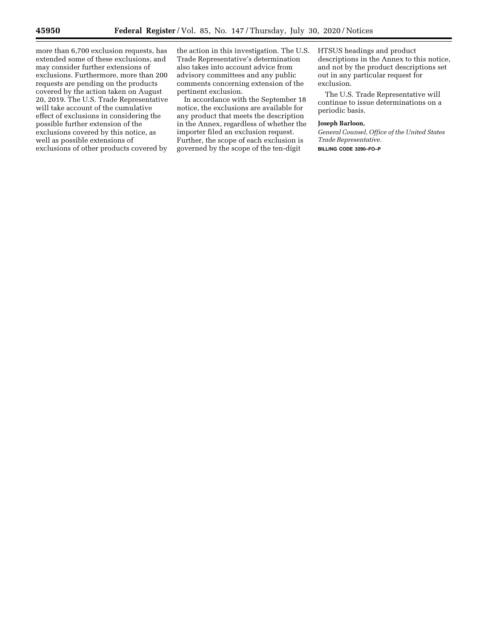more than 6,700 exclusion requests, has extended some of these exclusions, and may consider further extensions of exclusions. Furthermore, more than 200 requests are pending on the products covered by the action taken on August 20, 2019. The U.S. Trade Representative will take account of the cumulative effect of exclusions in considering the possible further extension of the exclusions covered by this notice, as well as possible extensions of exclusions of other products covered by

the action in this investigation. The U.S. Trade Representative's determination also takes into account advice from advisory committees and any public comments concerning extension of the pertinent exclusion.

In accordance with the September 18 notice, the exclusions are available for any product that meets the description in the Annex, regardless of whether the importer filed an exclusion request. Further, the scope of each exclusion is governed by the scope of the ten-digit

HTSUS headings and product descriptions in the Annex to this notice, and not by the product descriptions set out in any particular request for exclusion.

The U.S. Trade Representative will continue to issue determinations on a periodic basis.

#### **Joseph Barloon,**

*General Counsel, Office of the United States Trade Representative.* 

**BILLING CODE 3290–FO–P**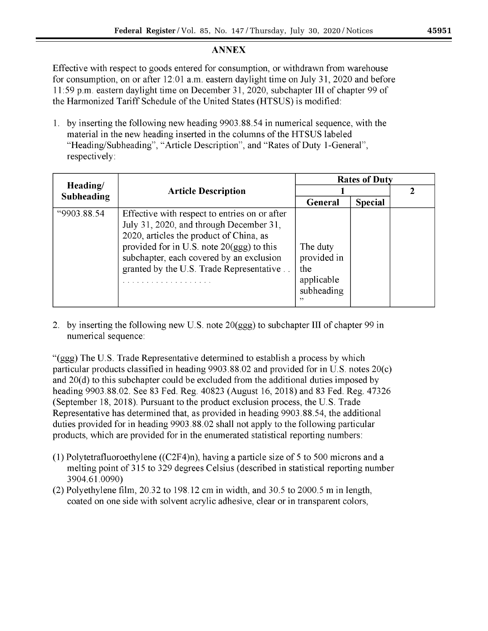# **ANNEX**

Effective with respect to goods entered for consumption, or withdrawn from warehouse for consumption, on or after 12:01 a.m. eastern daylight time on July 31, 2020 and before 11:59 p.m. eastern daylight time on December 31, 2020, subchapter III of chapter 99 of the Harmonized Tariff Schedule of the United States (HTSUS) is modified:

1. by inserting the following new heading 9903.88.54 in numerical sequence, with the material in the new heading inserted in the columns of the HTSUS labeled "Heading/Subheading", "Article Description", and "Rates of Duty 1-General", respectively:

| Heading/<br><b>Subheading</b> | <b>Article Description</b>                                                                                                                                                                                                                                                      | <b>Rates of Duty</b>                                             |                |  |
|-------------------------------|---------------------------------------------------------------------------------------------------------------------------------------------------------------------------------------------------------------------------------------------------------------------------------|------------------------------------------------------------------|----------------|--|
|                               |                                                                                                                                                                                                                                                                                 |                                                                  |                |  |
|                               |                                                                                                                                                                                                                                                                                 | General                                                          | <b>Special</b> |  |
| "9903.88.54                   | Effective with respect to entries on or after<br>July 31, 2020, and through December 31,<br>2020, articles the product of China, as<br>provided for in U.S. note $20(ggg)$ to this<br>subchapter, each covered by an exclusion<br>granted by the U.S. Trade Representative<br>. | The duty<br>provided in<br>the<br>applicable<br>subheading<br>,, |                |  |

2. by inserting the following new U.S. note  $20(ggg)$  to subchapter III of chapter 99 in numerical sequence:

"(ggg) The U.S. Trade Representative determined to establish a process by which particular products classified in heading  $9903.88.02$  and provided for in U.S. notes  $20(c)$ and  $20(d)$  to this subchapter could be excluded from the additional duties imposed by heading 9903.88.02. See 83 Fed. Reg. 40823 (August 16, 2018) and 83 Fed. Reg. 47326 (September 18, 2018). Pursuant to the product exclusion process, the U.S. Trade Representative has determined that, as provided in heading 9903.88.54, the additional duties provided for in heading 9903.88.02 shall not apply to the following particular products, which are provided for in the enumerated statistical reporting numbers:

- (1) Polytetrafluoroethylene ( $(C2F4)$ n), having a particle size of 5 to 500 microns and a melting point of 315 to 329 degrees Celsius (described in statistical reporting number 3904.61.0090)
- (2) Polyethylene film,  $20.32$  to 198.12 cm in width, and 30.5 to 2000.5 m in length, coated on one side with solvent acrylic adhesive, clear or in transparent colors,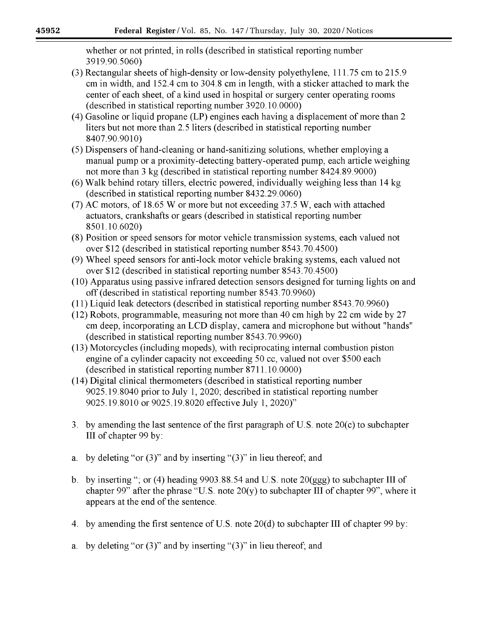whether or not printed, in rolls (described in statistical reporting number 3919.90.5060)

- (3) Rectangular sheets of high-density or low-density polyethylene, 111.75 cm to 215.9 cm in width, and 152.4 cm to 304.8 cm in length, with a sticker attached to mark the center of each sheet, of a kind used in hospital or surgery center operating rooms (described in statistical reporting number 3920.10.0000)
- (4) Gasoline or liquid propane (LP) engines each having a displacement of more than 2 liters but not more than 2.5 liters (described in statistical reporting number 8407.90.9010)
- (5) Dispensers of hand-cleaning or hand-sanitizing solutions, whether employing a manual pump or a proximity-detecting battery-operated pump, each article weighing not more than 3 kg (described in statistical reporting number 8424.89.9000)
- (6) Walk behind rotary tillers, electric powered, individually weighing less than 14 kg (described in statistical reporting number 8432.29.0060)
- (7) AC motors, of 18.65 W or more but not exceeding 37.5 W, each with attached actuators, crankshafts or gears (described in statistical reporting number 8501.10.6020)
- (8) Position or speed sensors for motor vehicle transmission systems, each valued not over \$12 (described in statistical reporting number 8543.70.4500)
- (9) Wheel speed sensors for anti-lock motor vehicle braking systems, each valued not over \$12 (described in statistical reporting number 8543.70.4500)
- (10) Apparatus using passive infrared detection sensors designed for turning lights on and off (described in statistical reporting number 8543.70.9960)
- (11) Liquid leak detectors (described in statistical reporting number 8543, 70, 9960)
- (12) Robots, programmable, measuring not more than 40 cm high by 22 cm wide by 27 em deep, incorporating an LCD display, camera and microphone but without "hands" (described in statistical reporting number 8543.70.9960)
- (13) Motorcycles (including mopeds), with reciprocating internal combustion piston engine of a cylinder capacity not exceeding 50 cc, valued not over \$500 each (described in statistical reporting number 8711.10.0000)
- (14) Digital clinical thermometers (described in statistical reporting number 9025.19.8040 prior to July 1, 2020; described in statistical reporting number 9025.19.8010 or 9025.19.8020 effective July 1, 2020)"
- 3. by amending the last sentence of the first paragraph of U.S. note  $20(c)$  to subchapter III of chapter 99 by:
- by deleting "or  $(3)$ " and by inserting " $(3)$ " in lieu thereof; and a.
- b. by inserting "; or (4) heading 9903.88.54 and U.S. note  $20(ggg)$  to subchapter III of chapter 99" after the phrase "U.S. note  $20(y)$  to subchapter III of chapter 99", where it appears at the end of the sentence.
- 4. by amending the first sentence of U.S. note 20(d) to subchapter III of chapter 99 by:
- a. by deleting "or  $(3)$ " and by inserting " $(3)$ " in lieu thereof; and